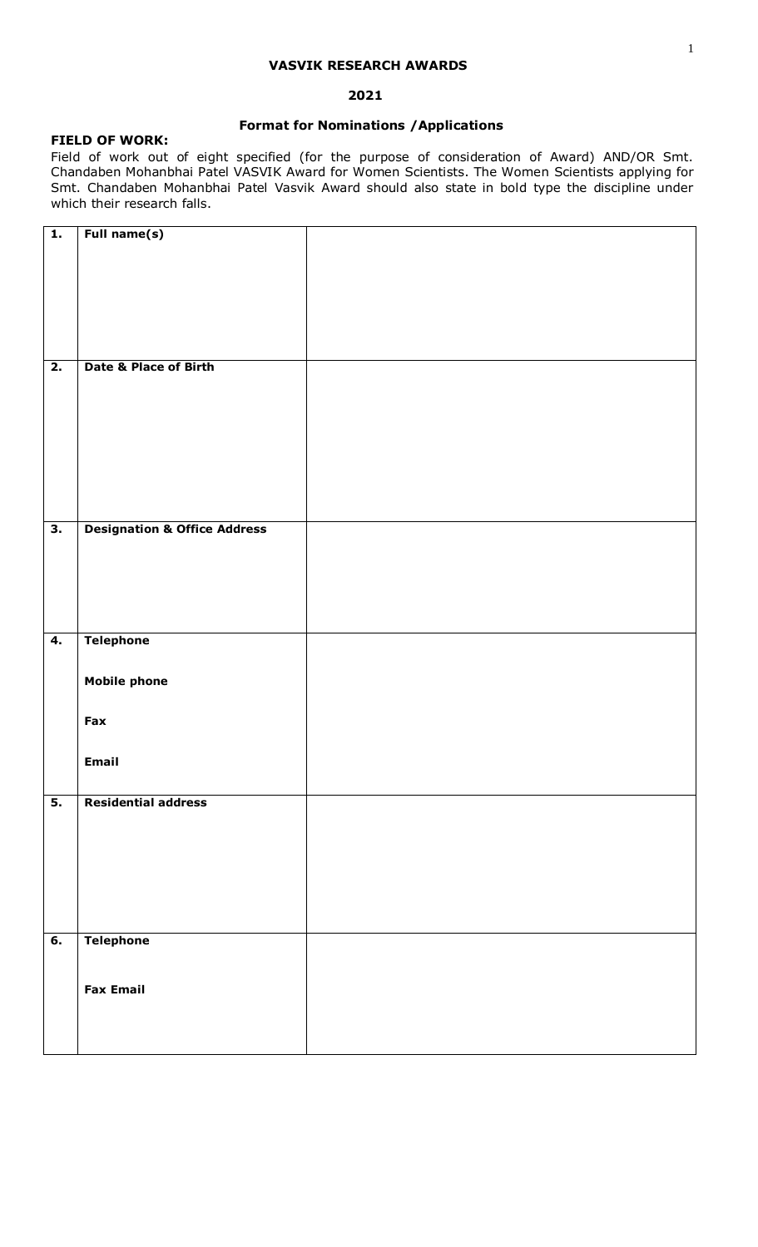### **VASVIK RESEARCH AWARDS**

## **2021**

# **Format for Nominations /Applications**

## **FIELD OF WORK:**

Field of work out of eight specified (for the purpose of consideration of Award) AND/OR Smt. Chandaben Mohanbhai Patel VASVIK Award for Women Scientists. The Women Scientists applying for Smt. Chandaben Mohanbhai Patel Vasvik Award should also state in bold type the discipline under which their research falls.

| $\overline{1}$ .          | Full name(s)                            |  |
|---------------------------|-----------------------------------------|--|
|                           |                                         |  |
|                           |                                         |  |
|                           |                                         |  |
|                           |                                         |  |
|                           |                                         |  |
|                           |                                         |  |
|                           |                                         |  |
|                           |                                         |  |
|                           |                                         |  |
|                           |                                         |  |
|                           |                                         |  |
| $\overline{2}$ .          | <b>Date &amp; Place of Birth</b>        |  |
|                           |                                         |  |
|                           |                                         |  |
|                           |                                         |  |
|                           |                                         |  |
|                           |                                         |  |
|                           |                                         |  |
|                           |                                         |  |
|                           |                                         |  |
|                           |                                         |  |
|                           |                                         |  |
|                           |                                         |  |
|                           |                                         |  |
|                           |                                         |  |
| $\overline{\mathbf{3}}$ . | <b>Designation &amp; Office Address</b> |  |
|                           |                                         |  |
|                           |                                         |  |
|                           |                                         |  |
|                           |                                         |  |
|                           |                                         |  |
|                           |                                         |  |
|                           |                                         |  |
|                           |                                         |  |
|                           |                                         |  |
| 4.                        | <b>Telephone</b>                        |  |
|                           |                                         |  |
|                           |                                         |  |
|                           |                                         |  |
|                           | <b>Mobile phone</b>                     |  |
|                           |                                         |  |
|                           |                                         |  |
|                           | Fax                                     |  |
|                           |                                         |  |
|                           |                                         |  |
|                           |                                         |  |
|                           | Email                                   |  |
|                           |                                         |  |
|                           |                                         |  |
| $\overline{5}$ .          | <b>Residential address</b>              |  |
|                           |                                         |  |
|                           |                                         |  |
|                           |                                         |  |
|                           |                                         |  |
|                           |                                         |  |
|                           |                                         |  |
|                           |                                         |  |
|                           |                                         |  |
|                           |                                         |  |
|                           |                                         |  |
|                           |                                         |  |
|                           |                                         |  |
| 6.                        | <b>Telephone</b>                        |  |
|                           |                                         |  |
|                           |                                         |  |
|                           |                                         |  |
|                           | <b>Fax Email</b>                        |  |
|                           |                                         |  |
|                           |                                         |  |
|                           |                                         |  |
|                           |                                         |  |
|                           |                                         |  |
|                           |                                         |  |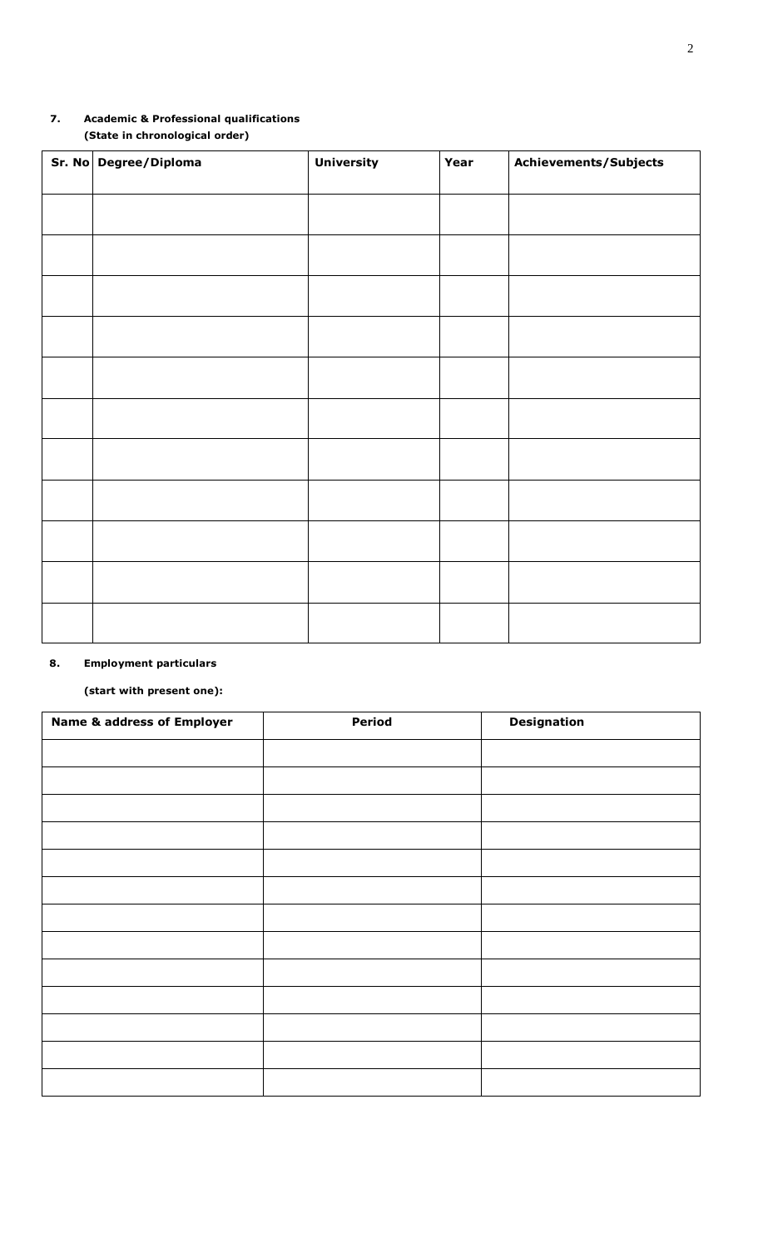# **7. Academic & Professional qualifications (State in chronological order)**

| Sr. No Degree/Diploma | <b>University</b> | Year | Achievements/Subjects |
|-----------------------|-------------------|------|-----------------------|
|                       |                   |      |                       |
|                       |                   |      |                       |
|                       |                   |      |                       |
|                       |                   |      |                       |
|                       |                   |      |                       |
|                       |                   |      |                       |
|                       |                   |      |                       |
|                       |                   |      |                       |
|                       |                   |      |                       |
|                       |                   |      |                       |
|                       |                   |      |                       |

# **8. Employment particulars**

# **(start with present one):**

| <b>Name &amp; address of Employer</b> | <b>Period</b> | <b>Designation</b> |
|---------------------------------------|---------------|--------------------|
|                                       |               |                    |
|                                       |               |                    |
|                                       |               |                    |
|                                       |               |                    |
|                                       |               |                    |
|                                       |               |                    |
|                                       |               |                    |
|                                       |               |                    |
|                                       |               |                    |
|                                       |               |                    |
|                                       |               |                    |
|                                       |               |                    |
|                                       |               |                    |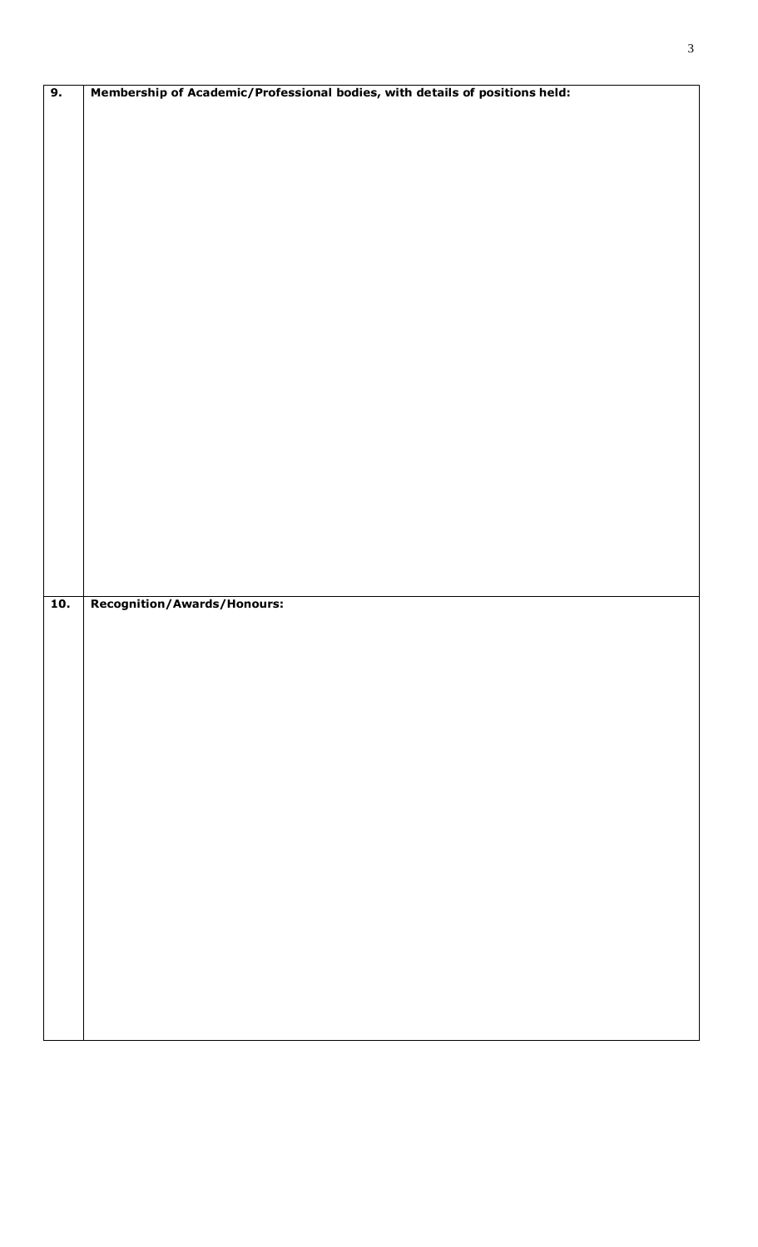| $\overline{9}$ .  | Membership of Academic/Professional bodies, with details of positions held: |
|-------------------|-----------------------------------------------------------------------------|
|                   |                                                                             |
|                   |                                                                             |
|                   |                                                                             |
|                   |                                                                             |
|                   |                                                                             |
|                   |                                                                             |
|                   |                                                                             |
|                   |                                                                             |
|                   |                                                                             |
|                   |                                                                             |
|                   |                                                                             |
|                   |                                                                             |
|                   |                                                                             |
|                   |                                                                             |
|                   |                                                                             |
|                   |                                                                             |
|                   |                                                                             |
|                   |                                                                             |
|                   |                                                                             |
|                   |                                                                             |
|                   |                                                                             |
|                   |                                                                             |
|                   |                                                                             |
|                   |                                                                             |
|                   |                                                                             |
|                   |                                                                             |
|                   |                                                                             |
|                   |                                                                             |
|                   |                                                                             |
|                   |                                                                             |
| $\overline{10}$ . | Recognition/Awards/Honours:                                                 |
|                   |                                                                             |
|                   |                                                                             |
|                   |                                                                             |
|                   |                                                                             |
|                   |                                                                             |
|                   |                                                                             |
|                   |                                                                             |
|                   |                                                                             |
|                   |                                                                             |
|                   |                                                                             |
|                   |                                                                             |
|                   |                                                                             |
|                   |                                                                             |
|                   |                                                                             |
|                   |                                                                             |
|                   |                                                                             |
|                   |                                                                             |
|                   |                                                                             |
|                   |                                                                             |
|                   |                                                                             |
|                   |                                                                             |
|                   |                                                                             |
|                   |                                                                             |
|                   |                                                                             |
|                   |                                                                             |
|                   |                                                                             |
|                   |                                                                             |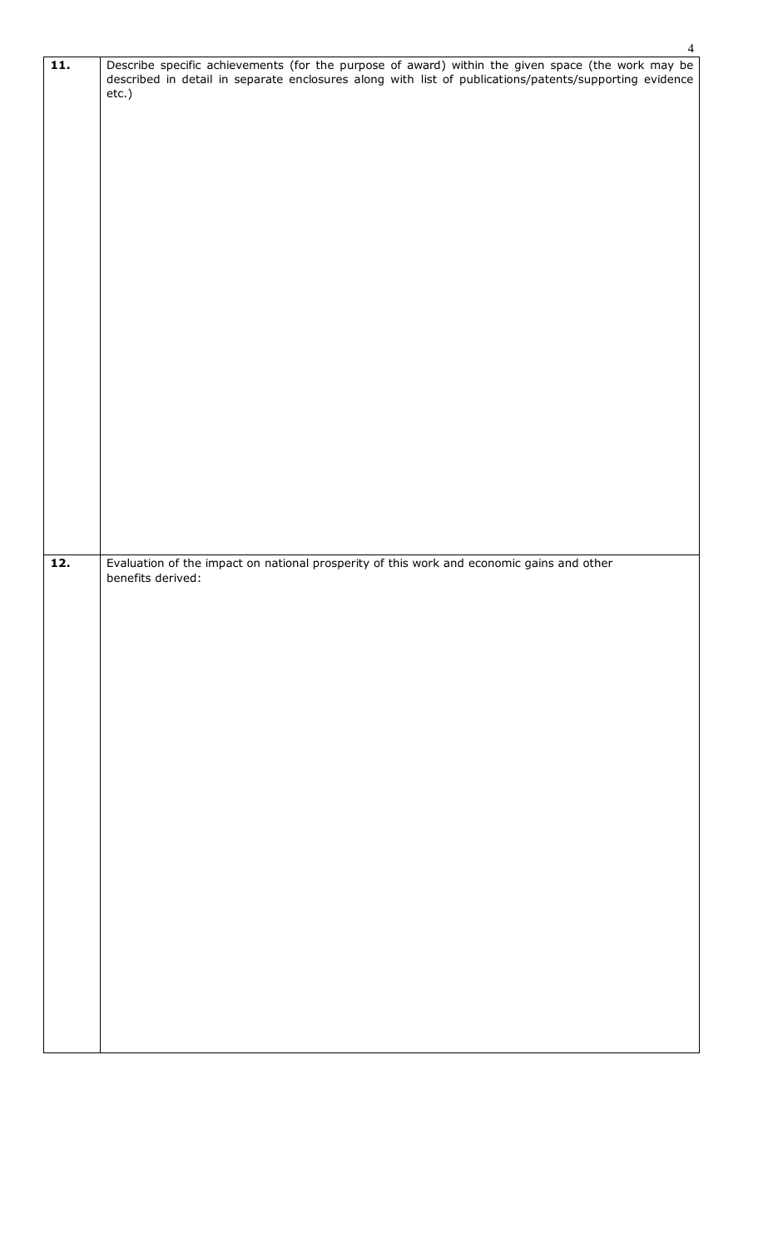| $\overline{11}$ . | $\mathbf{r}$<br>Describe specific achievements (for the purpose of award) within the given space (the work may be described in detail in separate enclosures along with list of publications/patents/supporting evidence<br>etc.) |
|-------------------|-----------------------------------------------------------------------------------------------------------------------------------------------------------------------------------------------------------------------------------|
|                   |                                                                                                                                                                                                                                   |
|                   |                                                                                                                                                                                                                                   |
|                   |                                                                                                                                                                                                                                   |
|                   |                                                                                                                                                                                                                                   |
| 12.               | Evaluation of the impact on national prosperity of this work and economic gains and other<br>benefits derived:                                                                                                                    |
|                   |                                                                                                                                                                                                                                   |
|                   |                                                                                                                                                                                                                                   |
|                   |                                                                                                                                                                                                                                   |
|                   |                                                                                                                                                                                                                                   |
|                   |                                                                                                                                                                                                                                   |
|                   |                                                                                                                                                                                                                                   |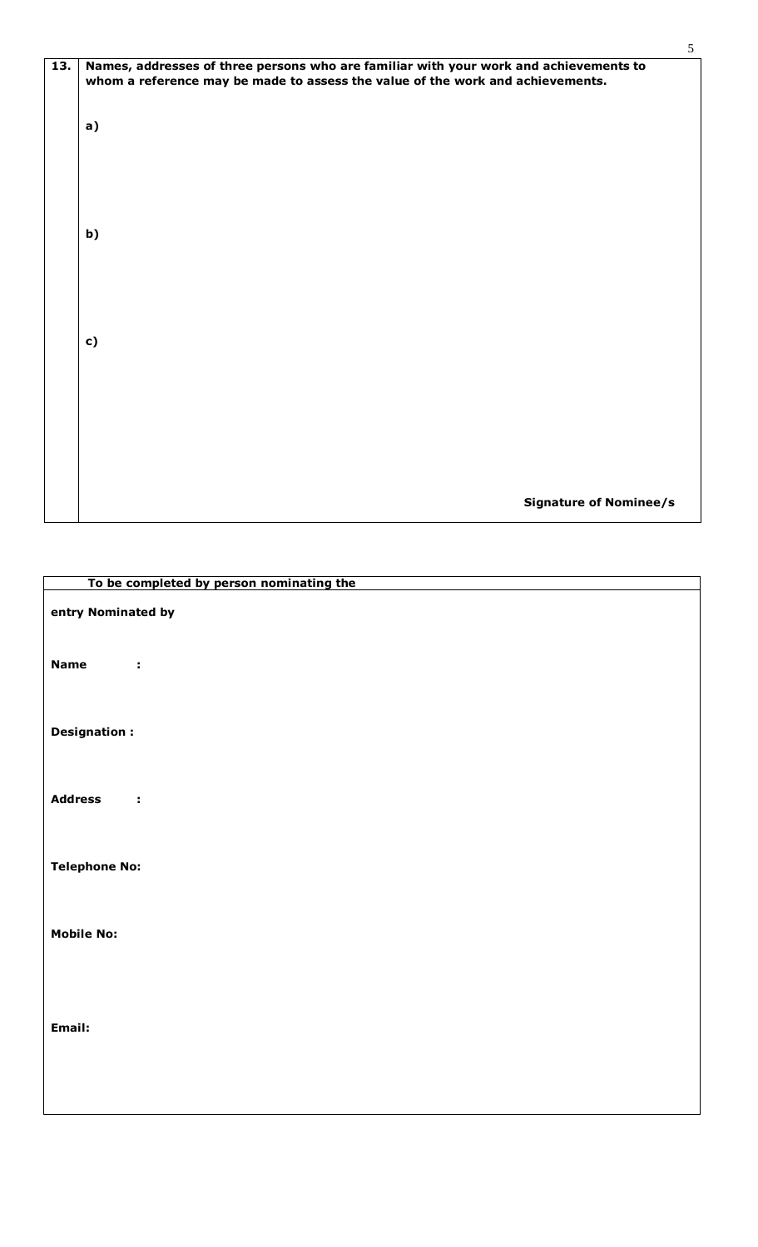| 13. | Names, addresses of three persons who are familiar with your work and achievements to<br>whom a reference may be made to assess the value of the work and achievements. |  |  |
|-----|-------------------------------------------------------------------------------------------------------------------------------------------------------------------------|--|--|
|     | a)                                                                                                                                                                      |  |  |
|     |                                                                                                                                                                         |  |  |
|     | b)                                                                                                                                                                      |  |  |
|     |                                                                                                                                                                         |  |  |
|     |                                                                                                                                                                         |  |  |
|     | c)                                                                                                                                                                      |  |  |
|     |                                                                                                                                                                         |  |  |
|     |                                                                                                                                                                         |  |  |
|     |                                                                                                                                                                         |  |  |
|     | <b>Signature of Nominee/s</b>                                                                                                                                           |  |  |

| To be completed by person nominating the |
|------------------------------------------|
| entry Nominated by                       |
| <b>Name</b><br>÷                         |
| <b>Designation:</b>                      |
| <b>Address</b><br>$\sim 10$              |
| <b>Telephone No:</b>                     |
| <b>Mobile No:</b>                        |
| Email:                                   |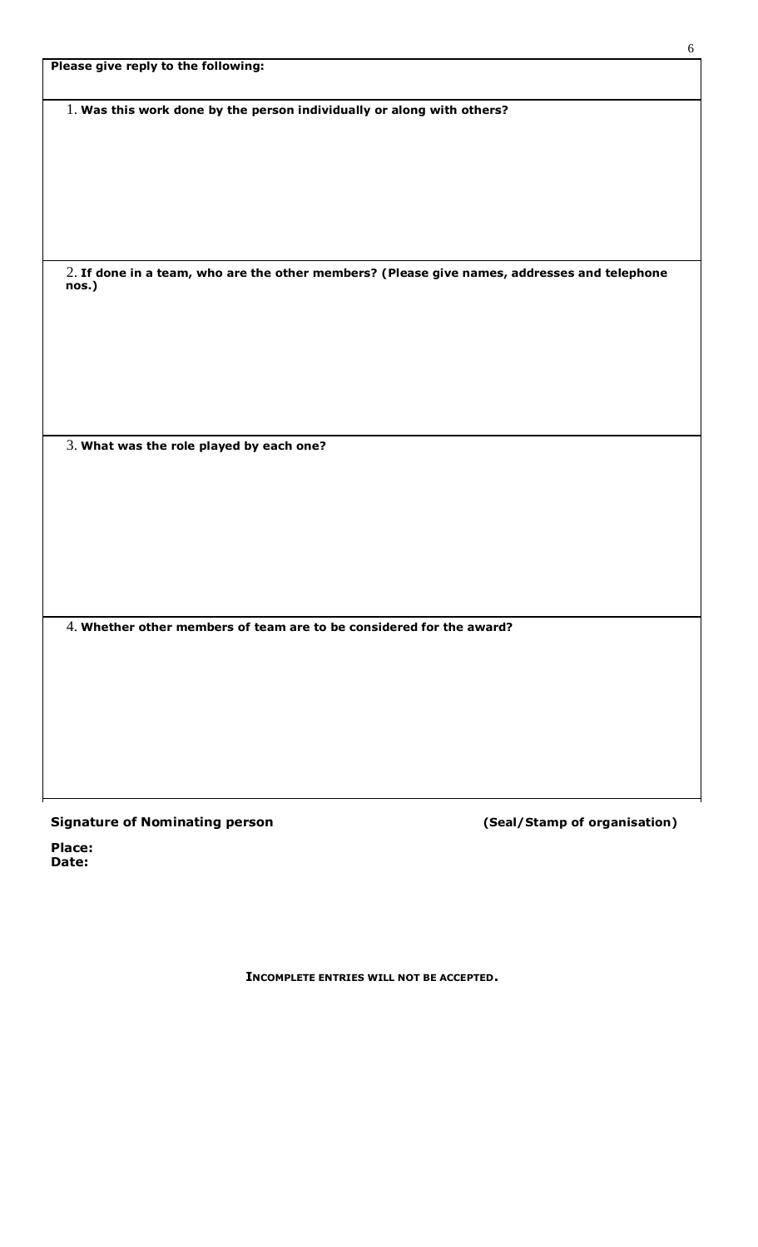|  |  |  |  | Please give reply to the following: |
|--|--|--|--|-------------------------------------|
|--|--|--|--|-------------------------------------|

1. **Was this work done by the person individually or along with others?**

2. **If done in a team, who are the other members? (Please give names, addresses and telephone nos.)**

3. **What was the role played by each one?**

4. **Whether other members of team are to be considered for the award?**

### **Signature of Nominating person (Seal/Stamp of organisation)**

**Place: Date:**

**INCOMPLETE ENTRIES WILL NOT BE ACCEPTED.**